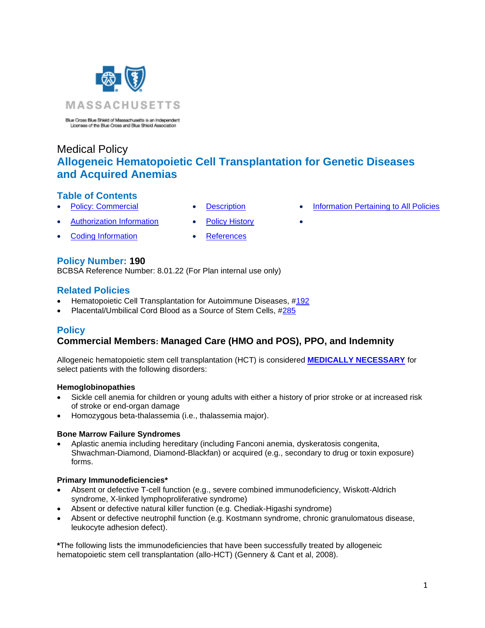

Blue Cross Blue Shield of Massachusetts is an Independent<br>Licenses of the Blue Cross and Blue Shield Association

# Medical Policy **Allogeneic Hematopoietic Cell Transplantation for Genetic Diseases and Acquired Anemias**

# **Table of Contents**

- **[Policy: Commercial](#page-0-0) [Description](#page-3-0) [Information Pertaining to All Policies](#page-7-0)**
- 
- [Authorization Information](#page-2-0) [Policy History](#page-7-1)
- **[Coding Information](#page-2-0) [References](#page-7-2)**
- -

# **Policy Number: 190**

BCBSA Reference Number: 8.01.22 (For Plan internal use only)

# **Related Policies**

- Hematopoietic Cell Transplantation for Autoimmune Diseases, [#192](https://www.bluecrossma.org/medical-policies/sites/g/files/csphws2091/files/acquiadam-assets/192%20Hematopoietic%20Cell%20Transplantation%20for%20Autoimmune%20Diseases%20prn.pdf)
- <span id="page-0-0"></span>• Placental/Umbilical Cord Blood as a Source of Stem Cells, [#285](https://www.bluecrossma.org/medical-policies/sites/g/files/csphws2091/files/acquiadam-assets/285%20Placental%20or%20Umbilical%20Cord%20Blood%20as%20a%20Source%20of%20Stem%20Cells%20prn.pdf)

# **Policy**

# **Commercial Members: Managed Care (HMO and POS), PPO, and Indemnity**

Allogeneic hematopoietic stem cell transplantation (HCT) is considered **[MEDICALLY NECESSARY](https://www.bluecrossma.org/medical-policies/sites/g/files/csphws2091/files/acquiadam-assets/Definition%20of%20Med%20Nec%20Inv%20Not%20Med%20Nec%20prn.pdf#page=1)** for select patients with the following disorders:

# **Hemoglobinopathies**

- Sickle cell anemia for children or young adults with either a history of prior stroke or at increased risk of stroke or end-organ damage
- Homozygous beta-thalassemia (i.e., thalassemia major).

# **Bone Marrow Failure Syndromes**

• Aplastic anemia including hereditary (including Fanconi anemia, dyskeratosis congenita, Shwachman-Diamond, Diamond-Blackfan) or acquired (e.g., secondary to drug or toxin exposure) forms.

# **Primary Immunodeficiencies\***

- Absent or defective T-cell function (e.g., severe combined immunodeficiency, Wiskott-Aldrich syndrome, X-linked lymphoproliferative syndrome)
- Absent or defective natural killer function (e.g. Chediak-Higashi syndrome)
- Absent or defective neutrophil function (e.g. Kostmann syndrome, chronic granulomatous disease, leukocyte adhesion defect).

**\***The following lists the immunodeficiencies that have been successfully treated by allogeneic hematopoietic stem cell transplantation (allo-HCT) (Gennery & Cant et al, 2008).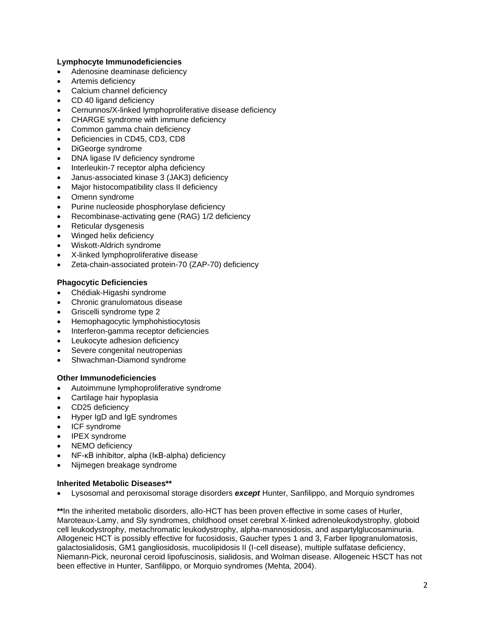### **Lymphocyte Immunodeficiencies**

- Adenosine deaminase deficiency
- Artemis deficiency
- Calcium channel deficiency
- CD 40 ligand deficiency
- Cernunnos/X-linked lymphoproliferative disease deficiency
- CHARGE syndrome with immune deficiency
- Common gamma chain deficiency
- Deficiencies in CD45, CD3, CD8
- DiGeorge syndrome
- DNA ligase IV deficiency syndrome
- Interleukin-7 receptor alpha deficiency
- Janus-associated kinase 3 (JAK3) deficiency
- Major histocompatibility class II deficiency
- Omenn syndrome
- Purine nucleoside phosphorylase deficiency
- Recombinase-activating gene (RAG) 1/2 deficiency
- Reticular dysgenesis
- Winged helix deficiency
- Wiskott-Aldrich syndrome
- X-linked lymphoproliferative disease
- Zeta-chain-associated protein-70 (ZAP-70) deficiency

### **Phagocytic Deficiencies**

- Chédiak-Higashi syndrome
- Chronic granulomatous disease
- Griscelli syndrome type 2
- Hemophagocytic lymphohistiocytosis
- Interferon-gamma receptor deficiencies
- Leukocyte adhesion deficiency
- Severe congenital neutropenias
- Shwachman-Diamond syndrome

#### **Other Immunodeficiencies**

- Autoimmune lymphoproliferative syndrome
- Cartilage hair hypoplasia
- CD25 deficiency
- Hyper IgD and IgE syndromes
- ICF syndrome
- IPEX syndrome
- NEMO deficiency
- NF-κB inhibitor, alpha (IκB-alpha) deficiency
- Nijmegen breakage syndrome

#### **Inherited Metabolic Diseases\*\***

• Lysosomal and peroxisomal storage disorders *except* Hunter, Sanfilippo, and Morquio syndromes

**\*\***In the inherited metabolic disorders, allo-HCT has been proven effective in some cases of Hurler, Maroteaux-Lamy, and Sly syndromes, childhood onset cerebral X-linked adrenoleukodystrophy, globoid cell leukodystrophy, metachromatic leukodystrophy, alpha-mannosidosis, and aspartylglucosaminuria. Allogeneic HCT is possibly effective for fucosidosis, Gaucher types 1 and 3, Farber lipogranulomatosis, galactosialidosis, GM1 gangliosidosis, mucolipidosis II (I-cell disease), multiple sulfatase deficiency, Niemann-Pick, neuronal ceroid lipofuscinosis, sialidosis, and Wolman disease. Allogeneic HSCT has not been effective in Hunter, Sanfilippo, or Morquio syndromes (Mehta, 2004).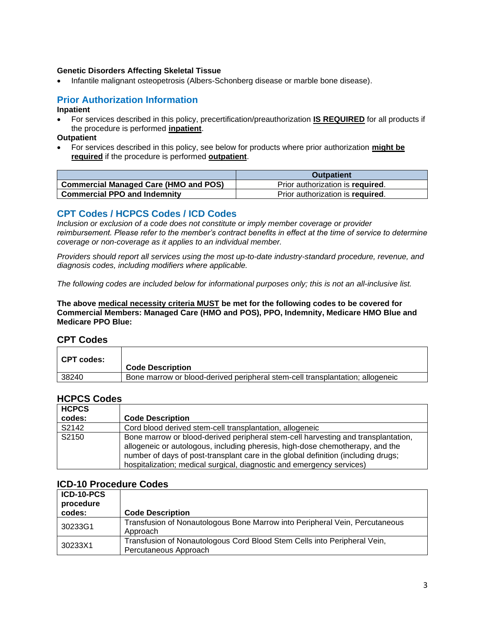# **Genetic Disorders Affecting Skeletal Tissue**

• Infantile malignant osteopetrosis (Albers-Schonberg disease or marble bone disease).

# <span id="page-2-0"></span>**Prior Authorization Information**

### **Inpatient**

• For services described in this policy, precertification/preauthorization **IS REQUIRED** for all products if the procedure is performed **inpatient**.

**Outpatient**

• For services described in this policy, see below for products where prior authorization **might be required** if the procedure is performed **outpatient**.

|                                       | <b>Outpatient</b>                |
|---------------------------------------|----------------------------------|
| Commercial Managed Care (HMO and POS) | Prior authorization is required. |
| <b>Commercial PPO and Indemnity</b>   | Prior authorization is required. |

# **CPT Codes / HCPCS Codes / ICD Codes**

*Inclusion or exclusion of a code does not constitute or imply member coverage or provider reimbursement. Please refer to the member's contract benefits in effect at the time of service to determine coverage or non-coverage as it applies to an individual member.*

*Providers should report all services using the most up-to-date industry-standard procedure, revenue, and diagnosis codes, including modifiers where applicable.*

*The following codes are included below for informational purposes only; this is not an all-inclusive list.*

**The above medical necessity criteria MUST be met for the following codes to be covered for Commercial Members: Managed Care (HMO and POS), PPO, Indemnity, Medicare HMO Blue and Medicare PPO Blue:**

# **CPT Codes**

| ∣ CPT codes: | <b>Code Description</b>                                                       |
|--------------|-------------------------------------------------------------------------------|
| 38240        | Bone marrow or blood-derived peripheral stem-cell transplantation; allogeneic |

# **HCPCS Codes**

| <b>HCPCS</b> |                                                                                                                                                                                                                                                                                                                                  |
|--------------|----------------------------------------------------------------------------------------------------------------------------------------------------------------------------------------------------------------------------------------------------------------------------------------------------------------------------------|
| codes:       | <b>Code Description</b>                                                                                                                                                                                                                                                                                                          |
| S2142        | Cord blood derived stem-cell transplantation, allogeneic                                                                                                                                                                                                                                                                         |
| S2150        | Bone marrow or blood-derived peripheral stem-cell harvesting and transplantation,<br>allogeneic or autologous, including pheresis, high-dose chemotherapy, and the<br>number of days of post-transplant care in the global definition (including drugs;<br>hospitalization; medical surgical, diagnostic and emergency services) |

# **ICD-10 Procedure Codes**

| ICD-10-PCS<br>procedure |                                                                                                   |
|-------------------------|---------------------------------------------------------------------------------------------------|
| codes:                  | <b>Code Description</b>                                                                           |
| 30233G1                 | Transfusion of Nonautologous Bone Marrow into Peripheral Vein, Percutaneous<br>Approach           |
| 30233X1                 | Transfusion of Nonautologous Cord Blood Stem Cells into Peripheral Vein,<br>Percutaneous Approach |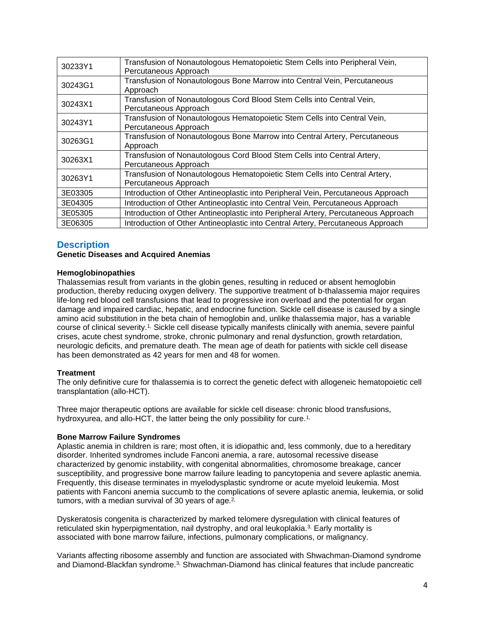| 30233Y1 | Transfusion of Nonautologous Hematopoietic Stem Cells into Peripheral Vein,<br>Percutaneous Approach |  |
|---------|------------------------------------------------------------------------------------------------------|--|
| 30243G1 | Transfusion of Nonautologous Bone Marrow into Central Vein, Percutaneous<br>Approach                 |  |
| 30243X1 | Transfusion of Nonautologous Cord Blood Stem Cells into Central Vein,<br>Percutaneous Approach       |  |
| 30243Y1 | Transfusion of Nonautologous Hematopoietic Stem Cells into Central Vein,<br>Percutaneous Approach    |  |
| 30263G1 | Transfusion of Nonautologous Bone Marrow into Central Artery, Percutaneous<br>Approach               |  |
| 30263X1 | Transfusion of Nonautologous Cord Blood Stem Cells into Central Artery,<br>Percutaneous Approach     |  |
| 30263Y1 | Transfusion of Nonautologous Hematopoietic Stem Cells into Central Artery,<br>Percutaneous Approach  |  |
| 3E03305 | Introduction of Other Antineoplastic into Peripheral Vein, Percutaneous Approach                     |  |
| 3E04305 | Introduction of Other Antineoplastic into Central Vein, Percutaneous Approach                        |  |
| 3E05305 | Introduction of Other Antineoplastic into Peripheral Artery, Percutaneous Approach                   |  |
| 3E06305 | Introduction of Other Antineoplastic into Central Artery, Percutaneous Approach                      |  |

# <span id="page-3-0"></span>**Description**

### **Genetic Diseases and Acquired Anemias**

# **Hemoglobinopathies**

Thalassemias result from variants in the globin genes, resulting in reduced or absent hemoglobin production, thereby reducing oxygen delivery. The supportive treatment of b-thalassemia major requires life-long red blood cell transfusions that lead to progressive iron overload and the potential for organ damage and impaired cardiac, hepatic, and endocrine function. Sickle cell disease is caused by a single amino acid substitution in the beta chain of hemoglobin and, unlike thalassemia major, has a variable course of clinical severity.[1,](https://www.evidencepositioningsystem.com/_w_0462fbc6f0d681aca95e134232773befcc5cc384bf0cd5ba/bcbsa_html/BCBSA/html/_blank) Sickle cell disease typically manifests clinically with anemia, severe painful crises, acute chest syndrome, stroke, chronic pulmonary and renal dysfunction, growth retardation, neurologic deficits, and premature death. The mean age of death for patients with sickle cell disease has been demonstrated as 42 years for men and 48 for women.

#### **Treatment**

The only definitive cure for thalassemia is to correct the genetic defect with allogeneic hematopoietic cell transplantation (allo-HCT).

Three major therapeutic options are available for sickle cell disease: chronic blood transfusions, hydroxyurea, and allo-HCT, the latter being the only possibility for cure.<sup>[1,](https://www.evidencepositioningsystem.com/_w_0462fbc6f0d681aca95e134232773befcc5cc384bf0cd5ba/bcbsa_html/BCBSA/html/_blank)</sup>

#### **Bone Marrow Failure Syndromes**

Aplastic anemia in children is rare; most often, it is idiopathic and, less commonly, due to a hereditary disorder. Inherited syndromes include Fanconi anemia, a rare, autosomal recessive disease characterized by genomic instability, with congenital abnormalities, chromosome breakage, cancer susceptibility, and progressive bone marrow failure leading to pancytopenia and severe aplastic anemia. Frequently, this disease terminates in myelodysplastic syndrome or acute myeloid leukemia. Most patients with Fanconi anemia succumb to the complications of severe aplastic anemia, leukemia, or solid tumors, with a median survival of 30 years of age. $2$ ,

Dyskeratosis congenita is characterized by marked telomere dysregulation with clinical features of reticulated skin hyperpigmentation, nail dystrophy, and oral leukoplakia.[3,](https://www.evidencepositioningsystem.com/_w_0462fbc6f0d681aca95e134232773befcc5cc384bf0cd5ba/bcbsa_html/BCBSA/html/_blank) Early mortality is associated with bone marrow failure, infections, pulmonary complications, or malignancy.

Variants affecting ribosome assembly and function are associated with Shwachman-Diamond syndrome and Diamond-Blackfan syndrome.[3,](https://www.evidencepositioningsystem.com/_w_0462fbc6f0d681aca95e134232773befcc5cc384bf0cd5ba/bcbsa_html/BCBSA/html/_blank) Shwachman-Diamond has clinical features that include pancreatic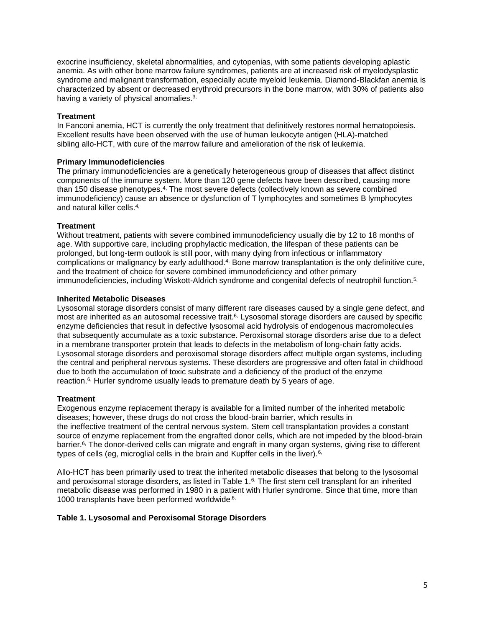exocrine insufficiency, skeletal abnormalities, and cytopenias, with some patients developing aplastic anemia. As with other bone marrow failure syndromes, patients are at increased risk of myelodysplastic syndrome and malignant transformation, especially acute myeloid leukemia. Diamond-Blackfan anemia is characterized by absent or decreased erythroid precursors in the bone marrow, with 30% of patients also having a variety of physical anomalies.[3,](https://www.evidencepositioningsystem.com/_w_0462fbc6f0d681aca95e134232773befcc5cc384bf0cd5ba/bcbsa_html/BCBSA/html/_blank)

### **Treatment**

In Fanconi anemia, HCT is currently the only treatment that definitively restores normal hematopoiesis. Excellent results have been observed with the use of human leukocyte antigen (HLA)-matched sibling allo-HCT, with cure of the marrow failure and amelioration of the risk of leukemia.

### **Primary Immunodeficiencies**

The primary immunodeficiencies are a genetically heterogeneous group of diseases that affect distinct components of the immune system. More than 120 gene defects have been described, causing more than 150 disease phenotypes.[4,](https://www.evidencepositioningsystem.com/_w_0462fbc6f0d681aca95e134232773befcc5cc384bf0cd5ba/bcbsa_html/BCBSA/html/_blank) The most severe defects (collectively known as severe combined immunodeficiency) cause an absence or dysfunction of T lymphocytes and sometimes B lymphocytes and natural killer cells.[4,](https://www.evidencepositioningsystem.com/_w_0462fbc6f0d681aca95e134232773befcc5cc384bf0cd5ba/bcbsa_html/BCBSA/html/_blank)

#### **Treatment**

Without treatment, patients with severe combined immunodeficiency usually die by 12 to 18 months of age. With supportive care, including prophylactic medication, the lifespan of these patients can be prolonged, but long-term outlook is still poor, with many dying from infectious or inflammatory complications or malignancy by early adulthood.<sup>[4,](https://www.evidencepositioningsystem.com/_w_0462fbc6f0d681aca95e134232773befcc5cc384bf0cd5ba/bcbsa_html/BCBSA/html/_blank)</sup> Bone marrow transplantation is the only definitive cure, and the treatment of choice for severe combined immunodeficiency and other primary immunodeficiencies, including Wiskott-Aldrich syndrome and congenital defects of neutrophil function.[5,](https://www.evidencepositioningsystem.com/_w_0462fbc6f0d681aca95e134232773befcc5cc384bf0cd5ba/bcbsa_html/BCBSA/html/_blank)

### **Inherited Metabolic Diseases**

Lysosomal storage disorders consist of many different rare diseases caused by a single gene defect, and most are inherited as an autosomal recessive trait.[6,](https://www.evidencepositioningsystem.com/_w_0462fbc6f0d681aca95e134232773befcc5cc384bf0cd5ba/bcbsa_html/BCBSA/html/_blank) Lysosomal storage disorders are caused by specific enzyme deficiencies that result in defective lysosomal acid hydrolysis of endogenous macromolecules that subsequently accumulate as a toxic substance. Peroxisomal storage disorders arise due to a defect in a membrane transporter protein that leads to defects in the metabolism of long-chain fatty acids. Lysosomal storage disorders and peroxisomal storage disorders affect multiple organ systems, including the central and peripheral nervous systems. These disorders are progressive and often fatal in childhood due to both the accumulation of toxic substrate and a deficiency of the product of the enzyme reaction.[6,](https://www.evidencepositioningsystem.com/_w_0462fbc6f0d681aca95e134232773befcc5cc384bf0cd5ba/bcbsa_html/BCBSA/html/_blank) Hurler syndrome usually leads to premature death by 5 years of age.

# **Treatment**

Exogenous enzyme replacement therapy is available for a limited number of the inherited metabolic diseases; however, these drugs do not cross the blood-brain barrier, which results in the ineffective treatment of the central nervous system. Stem cell transplantation provides a constant source of enzyme replacement from the engrafted donor cells, which are not impeded by the blood-brain barrier.<sup>6</sup>, The donor-derived cells can migrate and engraft in many organ systems, giving rise to different types of cells (eg, microglial cells in the brain and Kupffer cells in the liver).<sup>[6,](https://www.evidencepositioningsystem.com/_w_0462fbc6f0d681aca95e134232773befcc5cc384bf0cd5ba/bcbsa_html/BCBSA/html/_blank)</sup>

Allo-HCT has been primarily used to treat the inherited metabolic diseases that belong to the lysosomal and peroxisomal storage disorders, as listed in Table 1.<sup>[6,](https://www.evidencepositioningsystem.com/_w_0462fbc6f0d681aca95e134232773befcc5cc384bf0cd5ba/bcbsa_html/BCBSA/html/_blank)</sup> The first stem cell transplant for an inherited metabolic disease was performed in 1980 in a patient with Hurler syndrome. Since that time, more than 1000 transplants have been performed worldwide.<sup>6,</sup>

#### **Table 1. Lysosomal and Peroxisomal Storage Disorders**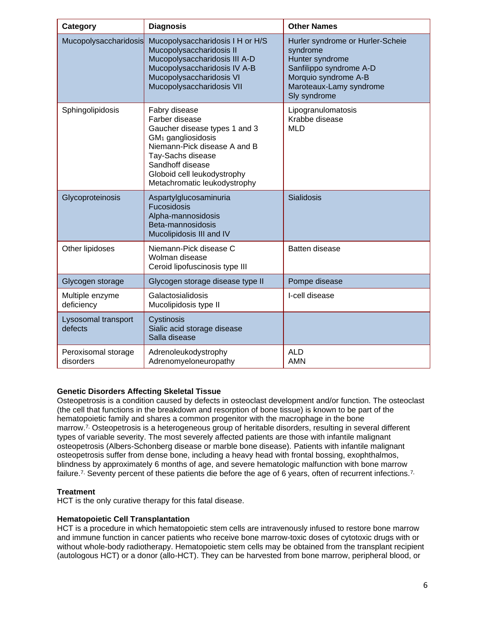| Category                         | <b>Diagnosis</b>                                                                                                                                                                                                                           | <b>Other Names</b>                                                                                                                                            |
|----------------------------------|--------------------------------------------------------------------------------------------------------------------------------------------------------------------------------------------------------------------------------------------|---------------------------------------------------------------------------------------------------------------------------------------------------------------|
| Mucopolysaccharidosis            | Mucopolysaccharidosis I H or H/S<br>Mucopolysaccharidosis II<br>Mucopolysaccharidosis III A-D<br>Mucopolysaccharidosis IV A-B<br>Mucopolysaccharidosis VI<br>Mucopolysaccharidosis VII                                                     | Hurler syndrome or Hurler-Scheie<br>syndrome<br>Hunter syndrome<br>Sanfilippo syndrome A-D<br>Morquio syndrome A-B<br>Maroteaux-Lamy syndrome<br>Sly syndrome |
| Sphingolipidosis                 | Fabry disease<br>Farber disease<br>Gaucher disease types 1 and 3<br>GM <sub>1</sub> gangliosidosis<br>Niemann-Pick disease A and B<br>Tay-Sachs disease<br>Sandhoff disease<br>Globoid cell leukodystrophy<br>Metachromatic leukodystrophy | Lipogranulomatosis<br>Krabbe disease<br><b>MLD</b>                                                                                                            |
| Glycoproteinosis                 | Aspartylglucosaminuria<br>Fucosidosis<br>Alpha-mannosidosis<br>Beta-mannosidosis<br>Mucolipidosis III and IV                                                                                                                               | <b>Sialidosis</b>                                                                                                                                             |
| Other lipidoses                  | Niemann-Pick disease C<br>Wolman disease<br>Ceroid lipofuscinosis type III                                                                                                                                                                 | Batten disease                                                                                                                                                |
| Glycogen storage                 | Glycogen storage disease type II                                                                                                                                                                                                           | Pompe disease                                                                                                                                                 |
| Multiple enzyme<br>deficiency    | Galactosialidosis<br>Mucolipidosis type II                                                                                                                                                                                                 | I-cell disease                                                                                                                                                |
| Lysosomal transport<br>defects   | Cystinosis<br>Sialic acid storage disease<br>Salla disease                                                                                                                                                                                 |                                                                                                                                                               |
| Peroxisomal storage<br>disorders | Adrenoleukodystrophy<br>Adrenomyeloneuropathy                                                                                                                                                                                              | <b>ALD</b><br><b>AMN</b>                                                                                                                                      |

# **Genetic Disorders Affecting Skeletal Tissue**

Osteopetrosis is a condition caused by defects in osteoclast development and/or function. The osteoclast (the cell that functions in the breakdown and resorption of bone tissue) is known to be part of the hematopoietic family and shares a common progenitor with the macrophage in the bone marrow.[7,](https://www.evidencepositioningsystem.com/_w_0462fbc6f0d681aca95e134232773befcc5cc384bf0cd5ba/bcbsa_html/BCBSA/html/_blank) Osteopetrosis is a heterogeneous group of heritable disorders, resulting in several different types of variable severity. The most severely affected patients are those with infantile malignant osteopetrosis (Albers-Schonberg disease or marble bone disease). Patients with infantile malignant osteopetrosis suffer from dense bone, including a heavy head with frontal bossing, exophthalmos, blindness by approximately 6 months of age, and severe hematologic malfunction with bone marrow failure.<sup>[7,](https://www.evidencepositioningsystem.com/_w_0462fbc6f0d681aca95e134232773befcc5cc384bf0cd5ba/bcbsa_html/BCBSA/html/_blank)</sup> Seventy percent of these patients die before the age of 6 years, often of recurrent infections.<sup>7,</sup>

#### **Treatment**

HCT is the only curative therapy for this fatal disease.

#### **Hematopoietic Cell Transplantation**

HCT is a procedure in which hematopoietic stem cells are intravenously infused to restore bone marrow and immune function in cancer patients who receive bone marrow-toxic doses of cytotoxic drugs with or without whole-body radiotherapy. Hematopoietic stem cells may be obtained from the transplant recipient (autologous HCT) or a donor (allo-HCT). They can be harvested from bone marrow, peripheral blood, or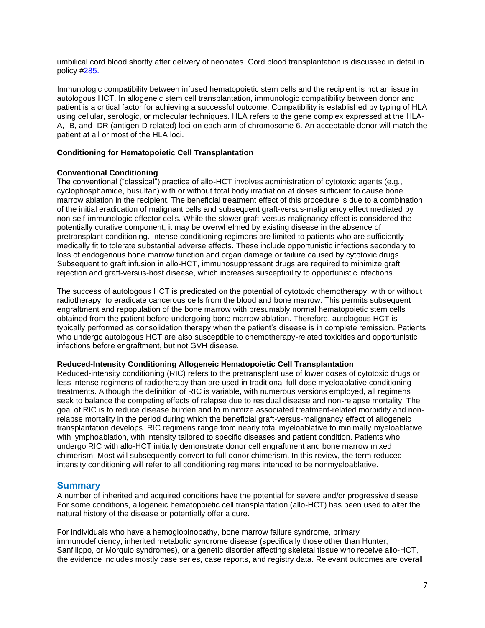umbilical cord blood shortly after delivery of neonates. Cord blood transplantation is discussed in detail in policy [#285.](https://www.bluecrossma.org/medical-policies/sites/g/files/csphws2091/files/acquiadam-assets/285%20Placental%20or%20Umbilical%20Cord%20Blood%20as%20a%20Source%20of%20Stem%20Cells%20prn.pdf)

Immunologic compatibility between infused hematopoietic stem cells and the recipient is not an issue in autologous HCT. In allogeneic stem cell transplantation, immunologic compatibility between donor and patient is a critical factor for achieving a successful outcome. Compatibility is established by typing of HLA using cellular, serologic, or molecular techniques. HLA refers to the gene complex expressed at the HLA-A, -B, and -DR (antigen-D related) loci on each arm of chromosome 6. An acceptable donor will match the patient at all or most of the HLA loci.

# **Conditioning for Hematopoietic Cell Transplantation**

### **Conventional Conditioning**

The conventional ("classical") practice of allo-HCT involves administration of cytotoxic agents (e.g., cyclophosphamide, busulfan) with or without total body irradiation at doses sufficient to cause bone marrow ablation in the recipient. The beneficial treatment effect of this procedure is due to a combination of the initial eradication of malignant cells and subsequent graft-versus-malignancy effect mediated by non-self-immunologic effector cells. While the slower graft-versus-malignancy effect is considered the potentially curative component, it may be overwhelmed by existing disease in the absence of pretransplant conditioning. Intense conditioning regimens are limited to patients who are sufficiently medically fit to tolerate substantial adverse effects. These include opportunistic infections secondary to loss of endogenous bone marrow function and organ damage or failure caused by cytotoxic drugs. Subsequent to graft infusion in allo-HCT, immunosuppressant drugs are required to minimize graft rejection and graft-versus-host disease, which increases susceptibility to opportunistic infections.

The success of autologous HCT is predicated on the potential of cytotoxic chemotherapy, with or without radiotherapy, to eradicate cancerous cells from the blood and bone marrow. This permits subsequent engraftment and repopulation of the bone marrow with presumably normal hematopoietic stem cells obtained from the patient before undergoing bone marrow ablation. Therefore, autologous HCT is typically performed as consolidation therapy when the patient's disease is in complete remission. Patients who undergo autologous HCT are also susceptible to chemotherapy-related toxicities and opportunistic infections before engraftment, but not GVH disease.

#### **Reduced-Intensity Conditioning Allogeneic Hematopoietic Cell Transplantation**

Reduced-intensity conditioning (RIC) refers to the pretransplant use of lower doses of cytotoxic drugs or less intense regimens of radiotherapy than are used in traditional full-dose myeloablative conditioning treatments. Although the definition of RIC is variable, with numerous versions employed, all regimens seek to balance the competing effects of relapse due to residual disease and non-relapse mortality. The goal of RIC is to reduce disease burden and to minimize associated treatment-related morbidity and nonrelapse mortality in the period during which the beneficial graft-versus-malignancy effect of allogeneic transplantation develops. RIC regimens range from nearly total myeloablative to minimally myeloablative with lymphoablation, with intensity tailored to specific diseases and patient condition. Patients who undergo RIC with allo-HCT initially demonstrate donor cell engraftment and bone marrow mixed chimerism. Most will subsequently convert to full-donor chimerism. In this review, the term reducedintensity conditioning will refer to all conditioning regimens intended to be nonmyeloablative.

# **Summary**

A number of inherited and acquired conditions have the potential for severe and/or progressive disease. For some conditions, allogeneic hematopoietic cell transplantation (allo-HCT) has been used to alter the natural history of the disease or potentially offer a cure.

For individuals who have a hemoglobinopathy, bone marrow failure syndrome, primary immunodeficiency, inherited metabolic syndrome disease (specifically those other than Hunter, Sanfilippo, or Morquio syndromes), or a genetic disorder affecting skeletal tissue who receive allo-HCT, the evidence includes mostly case series, case reports, and registry data. Relevant outcomes are overall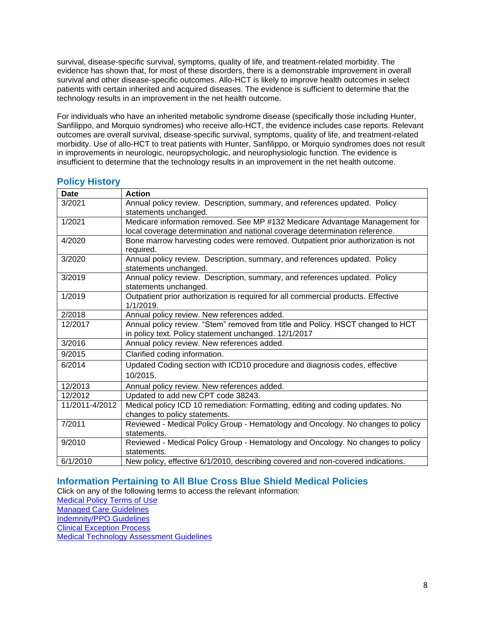survival, disease-specific survival, symptoms, quality of life, and treatment-related morbidity. The evidence has shown that, for most of these disorders, there is a demonstrable improvement in overall survival and other disease-specific outcomes. Allo-HCT is likely to improve health outcomes in select patients with certain inherited and acquired diseases. The evidence is sufficient to determine that the technology results in an improvement in the net health outcome.

For individuals who have an inherited metabolic syndrome disease (specifically those including Hunter, Sanfilippo, and Morquio syndromes) who receive allo-HCT, the evidence includes case reports. Relevant outcomes are overall survival, disease-specific survival, symptoms, quality of life, and treatment-related morbidity. Use of allo-HCT to treat patients with Hunter, Sanfilippo, or Morquio syndromes does not result in improvements in neurologic, neuropsychologic, and neurophysiologic function. The evidence is insufficient to determine that the technology results in an improvement in the net health outcome.

| <b>Date</b>    | <b>Action</b>                                                                     |
|----------------|-----------------------------------------------------------------------------------|
| 3/2021         | Annual policy review. Description, summary, and references updated. Policy        |
|                | statements unchanged.                                                             |
| 1/2021         | Medicare information removed. See MP #132 Medicare Advantage Management for       |
|                | local coverage determination and national coverage determination reference.       |
| 4/2020         | Bone marrow harvesting codes were removed. Outpatient prior authorization is not  |
|                | required.                                                                         |
| 3/2020         | Annual policy review. Description, summary, and references updated. Policy        |
|                | statements unchanged.                                                             |
| 3/2019         | Annual policy review. Description, summary, and references updated. Policy        |
|                | statements unchanged.                                                             |
| 1/2019         | Outpatient prior authorization is required for all commercial products. Effective |
|                | 1/1/2019.                                                                         |
| 2/2018         | Annual policy review. New references added.                                       |
| 12/2017        | Annual policy review. "Stem" removed from title and Policy. HSCT changed to HCT   |
|                | in policy text. Policy statement unchanged. 12/1/2017                             |
| 3/2016         | Annual policy review. New references added.                                       |
| 9/2015         | Clarified coding information.                                                     |
| 6/2014         | Updated Coding section with ICD10 procedure and diagnosis codes, effective        |
|                | 10/2015.                                                                          |
| 12/2013        | Annual policy review. New references added.                                       |
| 12/2012        | Updated to add new CPT code 38243.                                                |
| 11/2011-4/2012 | Medical policy ICD 10 remediation: Formatting, editing and coding updates. No     |
|                | changes to policy statements.                                                     |
| 7/2011         | Reviewed - Medical Policy Group - Hematology and Oncology. No changes to policy   |
|                | statements.                                                                       |
| 9/2010         | Reviewed - Medical Policy Group - Hematology and Oncology. No changes to policy   |
|                | statements.                                                                       |
| 6/1/2010       | New policy, effective 6/1/2010, describing covered and non-covered indications.   |

# <span id="page-7-1"></span>**Policy History**

# <span id="page-7-0"></span>**Information Pertaining to All Blue Cross Blue Shield Medical Policies**

Click on any of the following terms to access the relevant information:

[Medical Policy Terms of Use](http://www.bluecrossma.org/medical-policies/sites/g/files/csphws2091/files/acquiadam-assets/Medical_Policy_Terms_of_Use_prn.pdf)

[Managed Care Guidelines](http://www.bluecrossma.org/medical-policies/sites/g/files/csphws2091/files/acquiadam-assets/Managed_Care_Guidelines_prn.pdf)

[Indemnity/PPO Guidelines](http://www.bluecrossma.org/medical-policies/sites/g/files/csphws2091/files/acquiadam-assets/Indemnity_and_PPO_Guidelines_prn.pdf)

[Clinical Exception Process](http://www.bluecrossma.org/medical-policies/sites/g/files/csphws2091/files/acquiadam-assets/Clinical_Exception_Process_prn.pdf)

<span id="page-7-2"></span>[Medical Technology Assessment Guidelines](http://www.bluecrossma.org/medical-policies/sites/g/files/csphws2091/files/acquiadam-assets/Medical_Technology_Assessment_Guidelines_prn.pdf)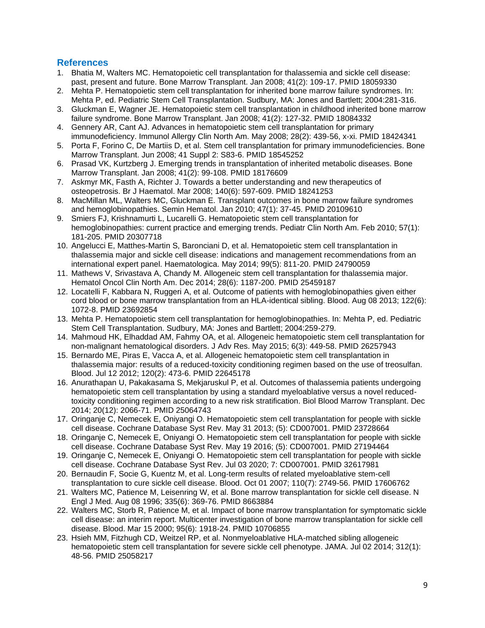# **References**

- 1. Bhatia M, Walters MC. Hematopoietic cell transplantation for thalassemia and sickle cell disease: past, present and future. Bone Marrow Transplant. Jan 2008; 41(2): 109-17. PMID 18059330
- 2. Mehta P. Hematopoietic stem cell transplantation for inherited bone marrow failure syndromes. In: Mehta P, ed. Pediatric Stem Cell Transplantation. Sudbury, MA: Jones and Bartlett; 2004:281-316.
- 3. Gluckman E, Wagner JE. Hematopoietic stem cell transplantation in childhood inherited bone marrow failure syndrome. Bone Marrow Transplant. Jan 2008; 41(2): 127-32. PMID 18084332
- 4. Gennery AR, Cant AJ. Advances in hematopoietic stem cell transplantation for primary immunodeficiency. Immunol Allergy Clin North Am. May 2008; 28(2): 439-56, x-xi. PMID 18424341
- 5. Porta F, Forino C, De Martiis D, et al. Stem cell transplantation for primary immunodeficiencies. Bone Marrow Transplant. Jun 2008; 41 Suppl 2: S83-6. PMID 18545252
- 6. Prasad VK, Kurtzberg J. Emerging trends in transplantation of inherited metabolic diseases. Bone Marrow Transplant. Jan 2008; 41(2): 99-108. PMID 18176609
- 7. Askmyr MK, Fasth A, Richter J. Towards a better understanding and new therapeutics of osteopetrosis. Br J Haematol. Mar 2008; 140(6): 597-609. PMID 18241253
- 8. MacMillan ML, Walters MC, Gluckman E. Transplant outcomes in bone marrow failure syndromes and hemoglobinopathies. Semin Hematol. Jan 2010; 47(1): 37-45. PMID 20109610
- 9. Smiers FJ, Krishnamurti L, Lucarelli G. Hematopoietic stem cell transplantation for hemoglobinopathies: current practice and emerging trends. Pediatr Clin North Am. Feb 2010; 57(1): 181-205. PMID 20307718
- 10. Angelucci E, Matthes-Martin S, Baronciani D, et al. Hematopoietic stem cell transplantation in thalassemia major and sickle cell disease: indications and management recommendations from an international expert panel. Haematologica. May 2014; 99(5): 811-20. PMID 24790059
- 11. Mathews V, Srivastava A, Chandy M. Allogeneic stem cell transplantation for thalassemia major. Hematol Oncol Clin North Am. Dec 2014; 28(6): 1187-200. PMID 25459187
- 12. Locatelli F, Kabbara N, Ruggeri A, et al. Outcome of patients with hemoglobinopathies given either cord blood or bone marrow transplantation from an HLA-identical sibling. Blood. Aug 08 2013; 122(6): 1072-8. PMID 23692854
- 13. Mehta P. Hematopoietic stem cell transplantation for hemoglobinopathies. In: Mehta P, ed. Pediatric Stem Cell Transplantation. Sudbury, MA: Jones and Bartlett; 2004:259-279.
- 14. Mahmoud HK, Elhaddad AM, Fahmy OA, et al. Allogeneic hematopoietic stem cell transplantation for non-malignant hematological disorders. J Adv Res. May 2015; 6(3): 449-58. PMID 26257943
- 15. Bernardo ME, Piras E, Vacca A, et al. Allogeneic hematopoietic stem cell transplantation in thalassemia major: results of a reduced-toxicity conditioning regimen based on the use of treosulfan. Blood. Jul 12 2012; 120(2): 473-6. PMID 22645178
- 16. Anurathapan U, Pakakasama S, Mekjaruskul P, et al. Outcomes of thalassemia patients undergoing hematopoietic stem cell transplantation by using a standard myeloablative versus a novel reducedtoxicity conditioning regimen according to a new risk stratification. Biol Blood Marrow Transplant. Dec 2014; 20(12): 2066-71. PMID 25064743
- 17. Oringanje C, Nemecek E, Oniyangi O. Hematopoietic stem cell transplantation for people with sickle cell disease. Cochrane Database Syst Rev. May 31 2013; (5): CD007001. PMID 23728664
- 18. Oringanje C, Nemecek E, Oniyangi O. Hematopoietic stem cell transplantation for people with sickle cell disease. Cochrane Database Syst Rev. May 19 2016; (5): CD007001. PMID 27194464
- 19. Oringanje C, Nemecek E, Oniyangi O. Hematopoietic stem cell transplantation for people with sickle cell disease. Cochrane Database Syst Rev. Jul 03 2020; 7: CD007001. PMID 32617981
- 20. Bernaudin F, Socie G, Kuentz M, et al. Long-term results of related myeloablative stem-cell transplantation to cure sickle cell disease. Blood. Oct 01 2007; 110(7): 2749-56. PMID 17606762
- 21. Walters MC, Patience M, Leisenring W, et al. Bone marrow transplantation for sickle cell disease. N Engl J Med. Aug 08 1996; 335(6): 369-76. PMID 8663884
- 22. Walters MC, Storb R, Patience M, et al. Impact of bone marrow transplantation for symptomatic sickle cell disease: an interim report. Multicenter investigation of bone marrow transplantation for sickle cell disease. Blood. Mar 15 2000; 95(6): 1918-24. PMID 10706855
- 23. Hsieh MM, Fitzhugh CD, Weitzel RP, et al. Nonmyeloablative HLA-matched sibling allogeneic hematopoietic stem cell transplantation for severe sickle cell phenotype. JAMA. Jul 02 2014; 312(1): 48-56. PMID 25058217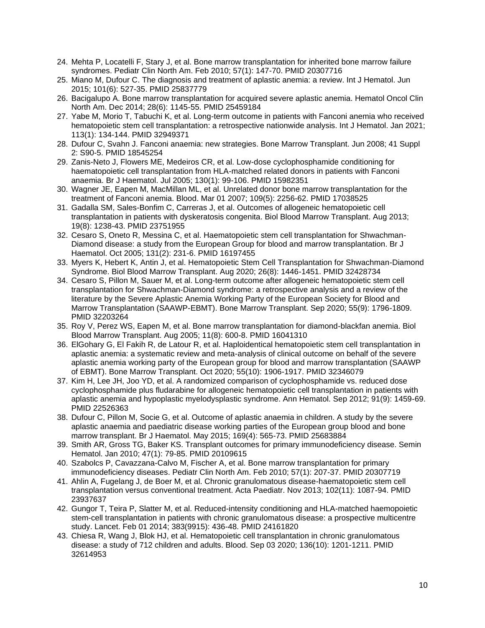- 24. Mehta P, Locatelli F, Stary J, et al. Bone marrow transplantation for inherited bone marrow failure syndromes. Pediatr Clin North Am. Feb 2010; 57(1): 147-70. PMID 20307716
- 25. Miano M, Dufour C. The diagnosis and treatment of aplastic anemia: a review. Int J Hematol. Jun 2015; 101(6): 527-35. PMID 25837779
- 26. Bacigalupo A. Bone marrow transplantation for acquired severe aplastic anemia. Hematol Oncol Clin North Am. Dec 2014; 28(6): 1145-55. PMID 25459184
- 27. Yabe M, Morio T, Tabuchi K, et al. Long-term outcome in patients with Fanconi anemia who received hematopoietic stem cell transplantation: a retrospective nationwide analysis. Int J Hematol. Jan 2021; 113(1): 134-144. PMID 32949371
- 28. Dufour C, Svahn J. Fanconi anaemia: new strategies. Bone Marrow Transplant. Jun 2008; 41 Suppl 2: S90-5. PMID 18545254
- 29. Zanis-Neto J, Flowers ME, Medeiros CR, et al. Low-dose cyclophosphamide conditioning for haematopoietic cell transplantation from HLA-matched related donors in patients with Fanconi anaemia. Br J Haematol. Jul 2005; 130(1): 99-106. PMID 15982351
- 30. Wagner JE, Eapen M, MacMillan ML, et al. Unrelated donor bone marrow transplantation for the treatment of Fanconi anemia. Blood. Mar 01 2007; 109(5): 2256-62. PMID 17038525
- 31. Gadalla SM, Sales-Bonfim C, Carreras J, et al. Outcomes of allogeneic hematopoietic cell transplantation in patients with dyskeratosis congenita. Biol Blood Marrow Transplant. Aug 2013; 19(8): 1238-43. PMID 23751955
- 32. Cesaro S, Oneto R, Messina C, et al. Haematopoietic stem cell transplantation for Shwachman-Diamond disease: a study from the European Group for blood and marrow transplantation. Br J Haematol. Oct 2005; 131(2): 231-6. PMID 16197455
- 33. Myers K, Hebert K, Antin J, et al. Hematopoietic Stem Cell Transplantation for Shwachman-Diamond Syndrome. Biol Blood Marrow Transplant. Aug 2020; 26(8): 1446-1451. PMID 32428734
- 34. Cesaro S, Pillon M, Sauer M, et al. Long-term outcome after allogeneic hematopoietic stem cell transplantation for Shwachman-Diamond syndrome: a retrospective analysis and a review of the literature by the Severe Aplastic Anemia Working Party of the European Society for Blood and Marrow Transplantation (SAAWP-EBMT). Bone Marrow Transplant. Sep 2020; 55(9): 1796-1809. PMID 32203264
- 35. Roy V, Perez WS, Eapen M, et al. Bone marrow transplantation for diamond-blackfan anemia. Biol Blood Marrow Transplant. Aug 2005; 11(8): 600-8. PMID 16041310
- 36. ElGohary G, El Fakih R, de Latour R, et al. Haploidentical hematopoietic stem cell transplantation in aplastic anemia: a systematic review and meta-analysis of clinical outcome on behalf of the severe aplastic anemia working party of the European group for blood and marrow transplantation (SAAWP of EBMT). Bone Marrow Transplant. Oct 2020; 55(10): 1906-1917. PMID 32346079
- 37. Kim H, Lee JH, Joo YD, et al. A randomized comparison of cyclophosphamide vs. reduced dose cyclophosphamide plus fludarabine for allogeneic hematopoietic cell transplantation in patients with aplastic anemia and hypoplastic myelodysplastic syndrome. Ann Hematol. Sep 2012; 91(9): 1459-69. PMID 22526363
- 38. Dufour C, Pillon M, Socie G, et al. Outcome of aplastic anaemia in children. A study by the severe aplastic anaemia and paediatric disease working parties of the European group blood and bone marrow transplant. Br J Haematol. May 2015; 169(4): 565-73. PMID 25683884
- 39. Smith AR, Gross TG, Baker KS. Transplant outcomes for primary immunodeficiency disease. Semin Hematol. Jan 2010; 47(1): 79-85. PMID 20109615
- 40. Szabolcs P, Cavazzana-Calvo M, Fischer A, et al. Bone marrow transplantation for primary immunodeficiency diseases. Pediatr Clin North Am. Feb 2010; 57(1): 207-37. PMID 20307719
- 41. Ahlin A, Fugelang J, de Boer M, et al. Chronic granulomatous disease-haematopoietic stem cell transplantation versus conventional treatment. Acta Paediatr. Nov 2013; 102(11): 1087-94. PMID 23937637
- 42. Gungor T, Teira P, Slatter M, et al. Reduced-intensity conditioning and HLA-matched haemopoietic stem-cell transplantation in patients with chronic granulomatous disease: a prospective multicentre study. Lancet. Feb 01 2014; 383(9915): 436-48. PMID 24161820
- 43. Chiesa R, Wang J, Blok HJ, et al. Hematopoietic cell transplantation in chronic granulomatous disease: a study of 712 children and adults. Blood. Sep 03 2020; 136(10): 1201-1211. PMID 32614953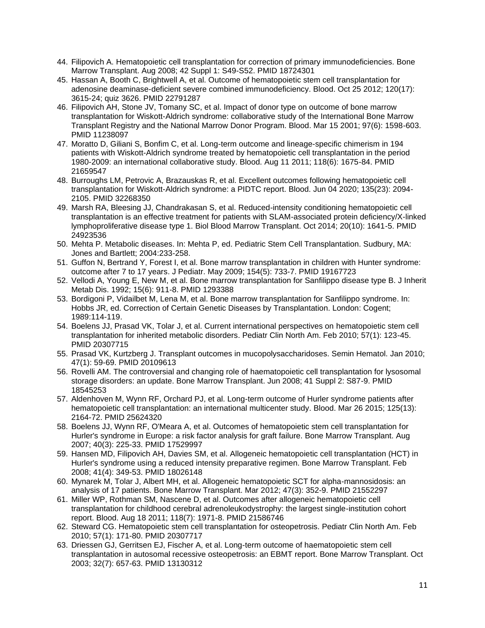- 44. Filipovich A. Hematopoietic cell transplantation for correction of primary immunodeficiencies. Bone Marrow Transplant. Aug 2008; 42 Suppl 1: S49-S52. PMID 18724301
- 45. Hassan A, Booth C, Brightwell A, et al. Outcome of hematopoietic stem cell transplantation for adenosine deaminase-deficient severe combined immunodeficiency. Blood. Oct 25 2012; 120(17): 3615-24; quiz 3626. PMID 22791287
- 46. Filipovich AH, Stone JV, Tomany SC, et al. Impact of donor type on outcome of bone marrow transplantation for Wiskott-Aldrich syndrome: collaborative study of the International Bone Marrow Transplant Registry and the National Marrow Donor Program. Blood. Mar 15 2001; 97(6): 1598-603. PMID 11238097
- 47. Moratto D, Giliani S, Bonfim C, et al. Long-term outcome and lineage-specific chimerism in 194 patients with Wiskott-Aldrich syndrome treated by hematopoietic cell transplantation in the period 1980-2009: an international collaborative study. Blood. Aug 11 2011; 118(6): 1675-84. PMID 21659547
- 48. Burroughs LM, Petrovic A, Brazauskas R, et al. Excellent outcomes following hematopoietic cell transplantation for Wiskott-Aldrich syndrome: a PIDTC report. Blood. Jun 04 2020; 135(23): 2094- 2105. PMID 32268350
- 49. Marsh RA, Bleesing JJ, Chandrakasan S, et al. Reduced-intensity conditioning hematopoietic cell transplantation is an effective treatment for patients with SLAM-associated protein deficiency/X-linked lymphoproliferative disease type 1. Biol Blood Marrow Transplant. Oct 2014; 20(10): 1641-5. PMID 24923536
- 50. Mehta P. Metabolic diseases. In: Mehta P, ed. Pediatric Stem Cell Transplantation. Sudbury, MA: Jones and Bartlett; 2004:233-258.
- 51. Guffon N, Bertrand Y, Forest I, et al. Bone marrow transplantation in children with Hunter syndrome: outcome after 7 to 17 years. J Pediatr. May 2009; 154(5): 733-7. PMID 19167723
- 52. Vellodi A, Young E, New M, et al. Bone marrow transplantation for Sanfilippo disease type B. J Inherit Metab Dis. 1992; 15(6): 911-8. PMID 1293388
- 53. Bordigoni P, Vidailbet M, Lena M, et al. Bone marrow transplantation for Sanfilippo syndrome. In: Hobbs JR, ed. Correction of Certain Genetic Diseases by Transplantation. London: Cogent; 1989:114-119.
- 54. Boelens JJ, Prasad VK, Tolar J, et al. Current international perspectives on hematopoietic stem cell transplantation for inherited metabolic disorders. Pediatr Clin North Am. Feb 2010; 57(1): 123-45. PMID 20307715
- 55. Prasad VK, Kurtzberg J. Transplant outcomes in mucopolysaccharidoses. Semin Hematol. Jan 2010; 47(1): 59-69. PMID 20109613
- 56. Rovelli AM. The controversial and changing role of haematopoietic cell transplantation for lysosomal storage disorders: an update. Bone Marrow Transplant. Jun 2008; 41 Suppl 2: S87-9. PMID 18545253
- 57. Aldenhoven M, Wynn RF, Orchard PJ, et al. Long-term outcome of Hurler syndrome patients after hematopoietic cell transplantation: an international multicenter study. Blood. Mar 26 2015; 125(13): 2164-72. PMID 25624320
- 58. Boelens JJ, Wynn RF, O'Meara A, et al. Outcomes of hematopoietic stem cell transplantation for Hurler's syndrome in Europe: a risk factor analysis for graft failure. Bone Marrow Transplant. Aug 2007; 40(3): 225-33. PMID 17529997
- 59. Hansen MD, Filipovich AH, Davies SM, et al. Allogeneic hematopoietic cell transplantation (HCT) in Hurler's syndrome using a reduced intensity preparative regimen. Bone Marrow Transplant. Feb 2008; 41(4): 349-53. PMID 18026148
- 60. Mynarek M, Tolar J, Albert MH, et al. Allogeneic hematopoietic SCT for alpha-mannosidosis: an analysis of 17 patients. Bone Marrow Transplant. Mar 2012; 47(3): 352-9. PMID 21552297
- 61. Miller WP, Rothman SM, Nascene D, et al. Outcomes after allogeneic hematopoietic cell transplantation for childhood cerebral adrenoleukodystrophy: the largest single-institution cohort report. Blood. Aug 18 2011; 118(7): 1971-8. PMID 21586746
- 62. Steward CG. Hematopoietic stem cell transplantation for osteopetrosis. Pediatr Clin North Am. Feb 2010; 57(1): 171-80. PMID 20307717
- 63. Driessen GJ, Gerritsen EJ, Fischer A, et al. Long-term outcome of haematopoietic stem cell transplantation in autosomal recessive osteopetrosis: an EBMT report. Bone Marrow Transplant. Oct 2003; 32(7): 657-63. PMID 13130312